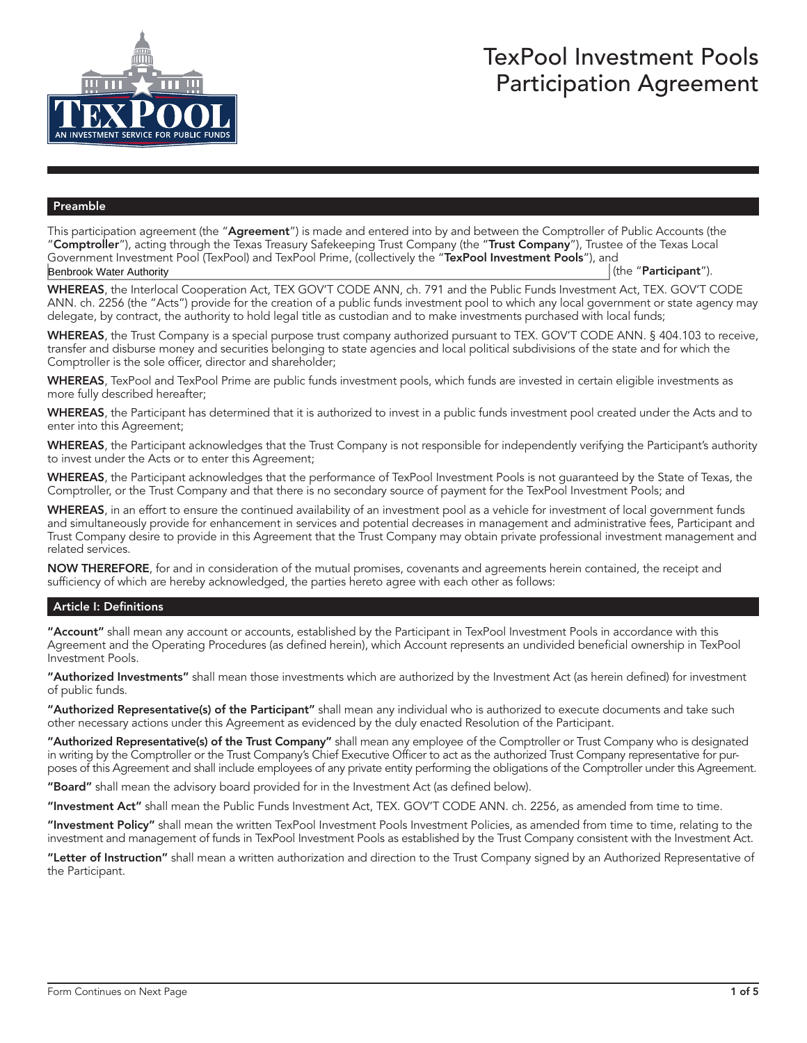

# TexPool Investment Pools Participation Agreement

#### Preamble

This participation agreement (the "Agreement") is made and entered into by and between the Comptroller of Public Accounts (the "**Comptroller**"), acting through the Texas Treasury Safekeeping Trust Company (the "Trust Company"), Trustee of the Texas Local Government Investment Pool (TexPool) and TexPool Prime, (collectively the "TexPool Investment Pools"), and (the "Participant"). Benbrook Water Authority

WHEREAS, the Interlocal Cooperation Act, TEX GOV'T CODE ANN, ch. 791 and the Public Funds Investment Act, TEX. GOV'T CODE ANN. ch. 2256 (the "Acts") provide for the creation of a public funds investment pool to which any local government or state agency may delegate, by contract, the authority to hold legal title as custodian and to make investments purchased with local funds;

WHEREAS, the Trust Company is a special purpose trust company authorized pursuant to TEX. GOV'T CODE ANN. § 404.103 to receive, transfer and disburse money and securities belonging to state agencies and local political subdivisions of the state and for which the Comptroller is the sole officer, director and shareholder;

WHEREAS, TexPool and TexPool Prime are public funds investment pools, which funds are invested in certain eligible investments as more fully described hereafter;

WHEREAS, the Participant has determined that it is authorized to invest in a public funds investment pool created under the Acts and to enter into this Agreement;

WHEREAS, the Participant acknowledges that the Trust Company is not responsible for independently verifying the Participant's authority to invest under the Acts or to enter this Agreement;

WHEREAS, the Participant acknowledges that the performance of TexPool Investment Pools is not guaranteed by the State of Texas, the Comptroller, or the Trust Company and that there is no secondary source of payment for the TexPool Investment Pools; and

WHEREAS, in an effort to ensure the continued availability of an investment pool as a vehicle for investment of local government funds and simultaneously provide for enhancement in services and potential decreases in management and administrative fees, Participant and Trust Company desire to provide in this Agreement that the Trust Company may obtain private professional investment management and related services.

NOW THEREFORE, for and in consideration of the mutual promises, covenants and agreements herein contained, the receipt and sufficiency of which are hereby acknowledged, the parties hereto agree with each other as follows:

## Article I: Definitions

"Account" shall mean any account or accounts, established by the Participant in TexPool Investment Pools in accordance with this Agreement and the Operating Procedures (as defined herein), which Account represents an undivided beneficial ownership in TexPool Investment Pools.

"Authorized Investments" shall mean those investments which are authorized by the Investment Act (as herein defined) for investment of public funds.

"Authorized Representative(s) of the Participant" shall mean any individual who is authorized to execute documents and take such other necessary actions under this Agreement as evidenced by the duly enacted Resolution of the Participant.

"Authorized Representative(s) of the Trust Company" shall mean any employee of the Comptroller or Trust Company who is designated in writing by the Comptroller or the Trust Company's Chief Executive Officer to act as the authorized Trust Company representative for purposes of this Agreement and shall include employees of any private entity performing the obligations of the Comptroller under this Agreement.

"Board" shall mean the advisory board provided for in the Investment Act (as defined below).

"Investment Act" shall mean the Public Funds Investment Act, TEX. GOV'T CODE ANN. ch. 2256, as amended from time to time.

"Investment Policy" shall mean the written TexPool Investment Pools Investment Policies, as amended from time to time, relating to the investment and management of funds in TexPool Investment Pools as established by the Trust Company consistent with the Investment Act.

"Letter of Instruction" shall mean a written authorization and direction to the Trust Company signed by an Authorized Representative of the Participant.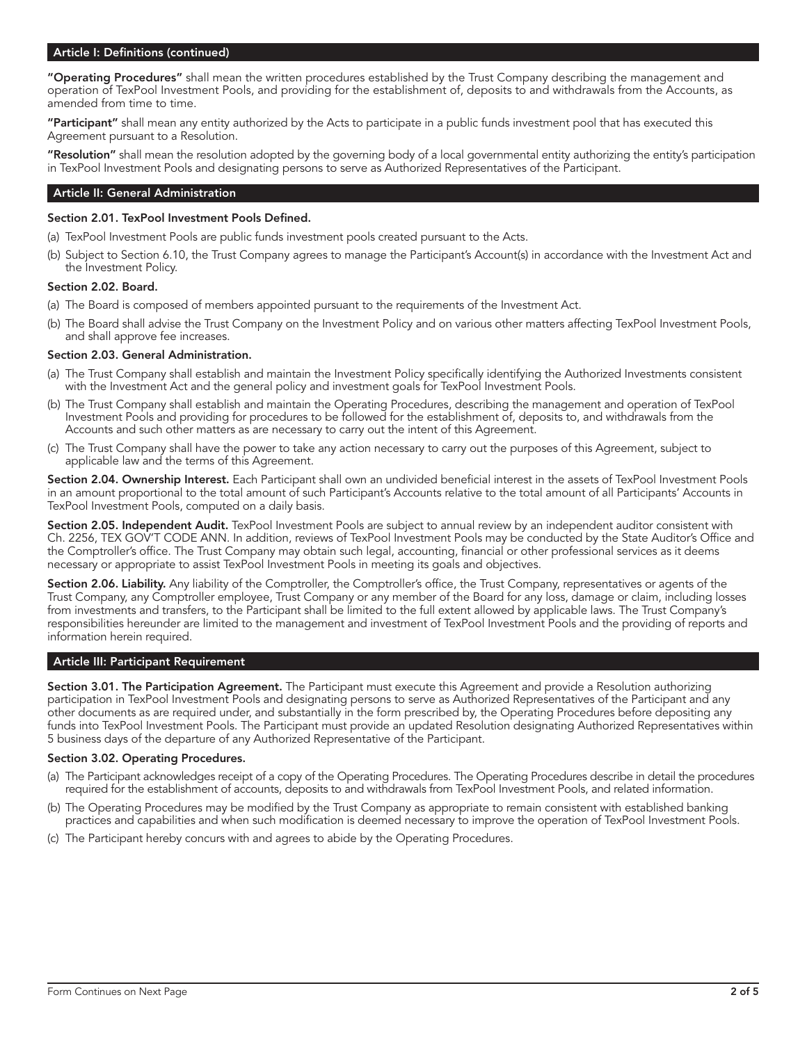# Article I: Definitions (continued)

"Operating Procedures" shall mean the written procedures established by the Trust Company describing the management and operation of TexPool Investment Pools, and providing for the establishment of, deposits to and withdrawals from the Accounts, as amended from time to time.

"Participant" shall mean any entity authorized by the Acts to participate in a public funds investment pool that has executed this Agreement pursuant to a Resolution.

**"Resolution"** shall mean the resolution adopted by the governing body of a local governmental entity authorizing the entity's participation in TexPool Investment Pools and designating persons to serve as Authorized Representatives of the Participant.

# Article II: General Administration

## Section 2.01. TexPool Investment Pools Defined.

- (a) TexPool Investment Pools are public funds investment pools created pursuant to the Acts.
- (b) Subject to Section 6.10, the Trust Company agrees to manage the Participant's Account(s) in accordance with the Investment Act and the Investment Policy.

## Section 2.02. Board.

- (a) The Board is composed of members appointed pursuant to the requirements of the Investment Act.
- (b) The Board shall advise the Trust Company on the Investment Policy and on various other matters affecting TexPool Investment Pools, and shall approve fee increases.

## Section 2.03. General Administration.

- (a) The Trust Company shall establish and maintain the Investment Policy specifically identifying the Authorized Investments consistent with the Investment Act and the general policy and investment goals for TexPool Investment Pools.
- (b) The Trust Company shall establish and maintain the Operating Procedures, describing the management and operation of TexPool Investment Pools and providing for procedures to be followed for the establishment of, deposits to, and withdrawals from the Accounts and such other matters as are necessary to carry out the intent of this Agreement.
- (c) The Trust Company shall have the power to take any action necessary to carry out the purposes of this Agreement, subject to applicable law and the terms of this Agreement.

Section 2.04. Ownership Interest. Each Participant shall own an undivided beneficial interest in the assets of TexPool Investment Pools in an amount proportional to the total amount of such Participant's Accounts relative to the total amount of all Participants' Accounts in TexPool Investment Pools, computed on a daily basis.

Section 2.05. Independent Audit. TexPool Investment Pools are subject to annual review by an independent auditor consistent with Ch. 2256, TEX GOV'T CODE ANN. In addition, reviews of TexPool Investment Pools may be conducted by the State Auditor's Office and the Comptroller's office. The Trust Company may obtain such legal, accounting, financial or other professional services as it deems necessary or appropriate to assist TexPool Investment Pools in meeting its goals and objectives.

Section 2.06. Liability. Any liability of the Comptroller, the Comptroller's office, the Trust Company, representatives or agents of the Trust Company, any Comptroller employee, Trust Company or any member of the Board for any loss, damage or claim, including losses from investments and transfers, to the Participant shall be limited to the full extent allowed by applicable laws. The Trust Company's responsibilities hereunder are limited to the management and investment of TexPool Investment Pools and the providing of reports and information herein required.

#### Article III: Participant Requirement

Section 3.01. The Participation Agreement. The Participant must execute this Agreement and provide a Resolution authorizing participation in TexPool Investment Pools and designating persons to serve as Authorized Representatives of the Participant and any other documents as are required under, and substantially in the form prescribed by, the Operating Procedures before depositing any funds into TexPool Investment Pools. The Participant must provide an updated Resolution designating Authorized Representatives within 5 business days of the departure of any Authorized Representative of the Participant.

## Section 3.02. Operating Procedures.

- (a) The Participant acknowledges receipt of a copy of the Operating Procedures. The Operating Procedures describe in detail the procedures required for the establishment of accounts, deposits to and withdrawals from TexPool Investment Pools, and related information.
- (b) The Operating Procedures may be modified by the Trust Company as appropriate to remain consistent with established banking practices and capabilities and when such modification is deemed necessary to improve the operation of TexPool Investment Pools.
- (c) The Participant hereby concurs with and agrees to abide by the Operating Procedures.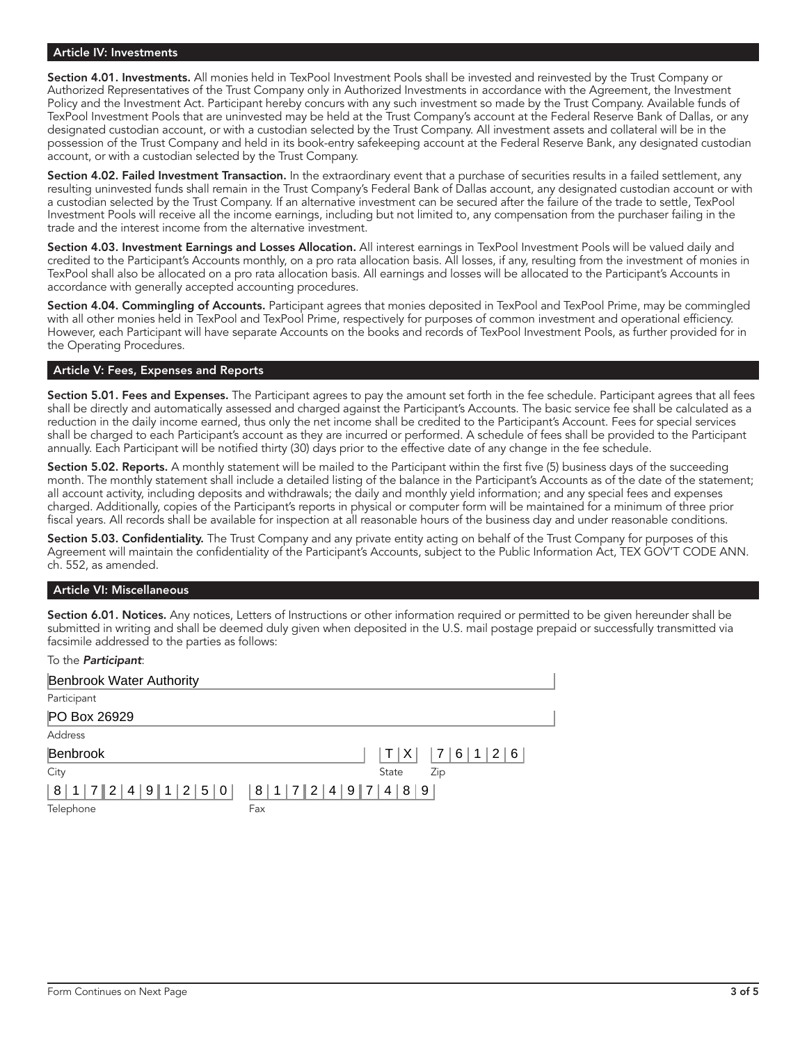# Article IV: Investments

Section 4.01. Investments. All monies held in TexPool Investment Pools shall be invested and reinvested by the Trust Company or Authorized Representatives of the Trust Company only in Authorized Investments in accordance with the Agreement, the Investment Policy and the Investment Act. Participant hereby concurs with any such investment so made by the Trust Company. Available funds of TexPool Investment Pools that are uninvested may be held at the Trust Company's account at the Federal Reserve Bank of Dallas, or any designated custodian account, or with a custodian selected by the Trust Company. All investment assets and collateral will be in the possession of the Trust Company and held in its book-entry safekeeping account at the Federal Reserve Bank, any designated custodian account, or with a custodian selected by the Trust Company.

Section 4.02. Failed Investment Transaction. In the extraordinary event that a purchase of securities results in a failed settlement, any resulting uninvested funds shall remain in the Trust Company's Federal Bank of Dallas account, any designated custodian account or with a custodian selected by the Trust Company. If an alternative investment can be secured after the failure of the trade to settle, TexPool Investment Pools will receive all the income earnings, including but not limited to, any compensation from the purchaser failing in the trade and the interest income from the alternative investment.

Section 4.03. Investment Earnings and Losses Allocation. All interest earnings in TexPool Investment Pools will be valued daily and credited to the Participant's Accounts monthly, on a pro rata allocation basis. All losses, if any, resulting from the investment of monies in TexPool shall also be allocated on a pro rata allocation basis. All earnings and losses will be allocated to the Participant's Accounts in accordance with generally accepted accounting procedures.

Section 4.04. Commingling of Accounts. Participant agrees that monies deposited in TexPool and TexPool Prime, may be commingled with all other monies held in TexPool and TexPool Prime, respectively for purposes of common investment and operational efficiency. However, each Participant will have separate Accounts on the books and records of TexPool Investment Pools, as further provided for in the Operating Procedures.

# Article V: Fees, Expenses and Reports

Section 5.01. Fees and Expenses. The Participant agrees to pay the amount set forth in the fee schedule. Participant agrees that all fees shall be directly and automatically assessed and charged against the Participant's Accounts. The basic service fee shall be calculated as a reduction in the daily income earned, thus only the net income shall be credited to the Participant's Account. Fees for special services shall be charged to each Participant's account as they are incurred or performed. A schedule of fees shall be provided to the Participant annually. Each Participant will be notified thirty (30) days prior to the effective date of any change in the fee schedule.

Section 5.02. Reports. A monthly statement will be mailed to the Participant within the first five (5) business days of the succeeding month. The monthly statement shall include a detailed listing of the balance in the Participant's Accounts as of the date of the statement; all account activity, including deposits and withdrawals; the daily and monthly yield information; and any special fees and expenses charged. Additionally, copies of the Participant's reports in physical or computer form will be maintained for a minimum of three prior fiscal years. All records shall be available for inspection at all reasonable hours of the business day and under reasonable conditions.

Section 5.03. Confidentiality. The Trust Company and any private entity acting on behalf of the Trust Company for purposes of this Agreement will maintain the confidentiality of the Participant's Accounts, subject to the Public Information Act, TEX GOV'T CODE ANN. ch. 552, as amended.

# Article VI: Miscellaneous

Section 6.01. Notices. Any notices, Letters of Instructions or other information required or permitted to be given hereunder shall be submitted in writing and shall be deemed duly given when deposited in the U.S. mail postage prepaid or successfully transmitted via facsimile addressed to the parties as follows:

# To the **Participant:**

| <b>Benbrook Water Authority</b>                |                  |
|------------------------------------------------|------------------|
| Participant                                    |                  |
| PO Box 26929                                   |                  |
| Address                                        |                  |
| Benbrook                                       | 7 6 1 2 6<br>T X |
| City                                           | State<br>Zip     |
| $ 8 1 7 2 4 9 1 2 5 0 $ $ 8 1 7 2 4 9 7 4 8 9$ |                  |
| Telephone                                      | Fax              |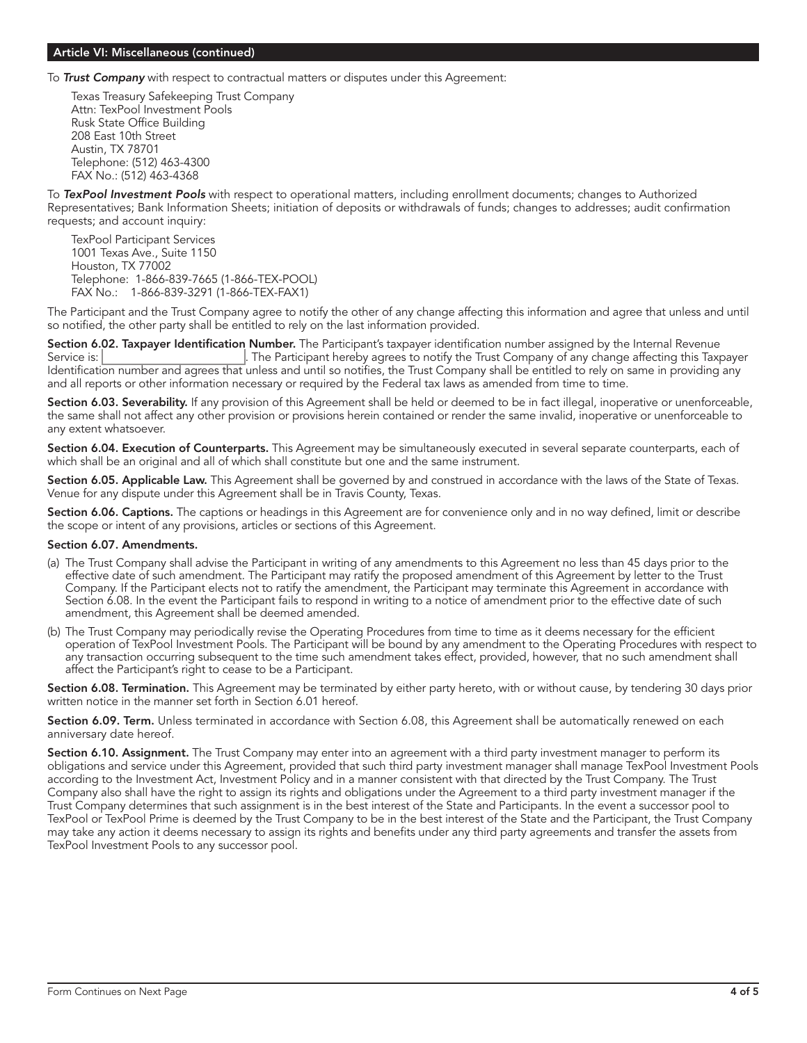## Article VI: Miscellaneous (continued)

To **Trust Company** with respect to contractual matters or disputes under this Agreement:

Texas Treasury Safekeeping Trust Company Attn: TexPool Investment Pools Rusk State Office Building 208 East 10th Street Austin, TX 78701 Telephone: (512) 463-4300 FAX No.: (512) 463-4368

To TexPool Investment Pools with respect to operational matters, including enrollment documents; changes to Authorized Representatives; Bank Information Sheets; initiation of deposits or withdrawals of funds; changes to addresses; audit confirmation requests; and account inquiry:

TexPool Participant Services 1001 Texas Ave., Suite 1150 Houston, TX 77002 Telephone: 1-866-839-7665 (1-866-TEX-POOL) FAX No.: 1-866-839-3291 (1-866-TEX-FAX1)

The Participant and the Trust Company agree to notify the other of any change affecting this information and agree that unless and until so notified, the other party shall be entitled to rely on the last information provided.

Section 6.02. Taxpayer Identification Number. The Participant's taxpayer identification number assigned by the Internal Revenue Service is: . The Participant hereby agrees to notify the Trust Company of any change affecting this Taxpayer Identification number and agrees that unless and until so notifies, the Trust Company shall be entitled to rely on same in providing any and all reports or other information necessary or required by the Federal tax laws as amended from time to time.

Section 6.03. Severability. If any provision of this Agreement shall be held or deemed to be in fact illegal, inoperative or unenforceable, the same shall not affect any other provision or provisions herein contained or render the same invalid, inoperative or unenforceable to any extent whatsoever.

Section 6.04. Execution of Counterparts. This Agreement may be simultaneously executed in several separate counterparts, each of which shall be an original and all of which shall constitute but one and the same instrument.

Section 6.05. Applicable Law. This Agreement shall be governed by and construed in accordance with the laws of the State of Texas. Venue for any dispute under this Agreement shall be in Travis County, Texas.

Section 6.06. Captions. The captions or headings in this Agreement are for convenience only and in no way defined, limit or describe the scope or intent of any provisions, articles or sections of this Agreement.

# Section 6.07. Amendments.

- (a) The Trust Company shall advise the Participant in writing of any amendments to this Agreement no less than 45 days prior to the effective date of such amendment. The Participant may ratify the proposed amendment of this Agreement by letter to the Trust Company. If the Participant elects not to ratify the amendment, the Participant may terminate this Agreement in accordance with Section 6.08. In the event the Participant fails to respond in writing to a notice of amendment prior to the effective date of such amendment, this Agreement shall be deemed amended.
- (b) The Trust Company may periodically revise the Operating Procedures from time to time as it deems necessary for the efficient operation of TexPool Investment Pools. The Participant will be bound by any amendment to the Operating Procedures with respect to any transaction occurring subsequent to the time such amendment takes effect, provided, however, that no such amendment shall affect the Participant's right to cease to be a Participant.

Section 6.08. Termination. This Agreement may be terminated by either party hereto, with or without cause, by tendering 30 days prior written notice in the manner set forth in Section 6.01 hereof.

Section 6.09. Term. Unless terminated in accordance with Section 6.08, this Agreement shall be automatically renewed on each anniversary date hereof.

Section 6.10. Assignment. The Trust Company may enter into an agreement with a third party investment manager to perform its obligations and service under this Agreement, provided that such third party investment manager shall manage TexPool Investment Pools according to the Investment Act, Investment Policy and in a manner consistent with that directed by the Trust Company. The Trust Company also shall have the right to assign its rights and obligations under the Agreement to a third party investment manager if the Trust Company determines that such assignment is in the best interest of the State and Participants. In the event a successor pool to TexPool or TexPool Prime is deemed by the Trust Company to be in the best interest of the State and the Participant, the Trust Company may take any action it deems necessary to assign its rights and benefits under any third party agreements and transfer the assets from TexPool Investment Pools to any successor pool.